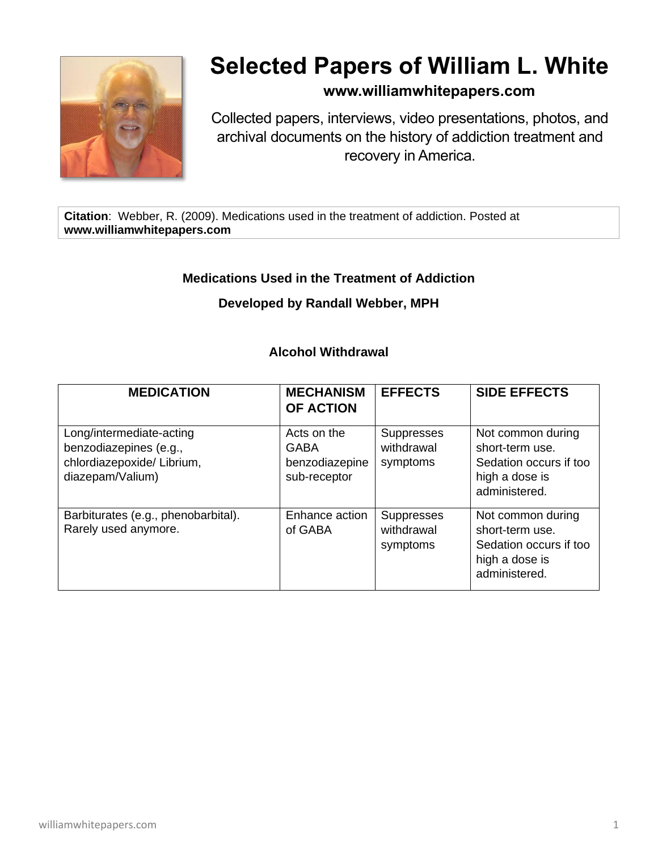

# **Selected Papers of William L. White**

# **www.williamwhitepapers.com**

Collected papers, interviews, video presentations, photos, and archival documents on the history of addiction treatment and recovery in America.

**Citation**: Webber, R. (2009). Medications used in the treatment of addiction. Posted at **www.williamwhitepapers.com**

## **Medications Used in the Treatment of Addiction**

#### **Developed by Randall Webber, MPH**

#### **Alcohol Withdrawal**

| <b>MEDICATION</b>                                                                                    | <b>MECHANISM</b><br><b>OF ACTION</b>                         | <b>EFFECTS</b>                              | <b>SIDE EFFECTS</b>                                                                               |
|------------------------------------------------------------------------------------------------------|--------------------------------------------------------------|---------------------------------------------|---------------------------------------------------------------------------------------------------|
| Long/intermediate-acting<br>benzodiazepines (e.g.,<br>chlordiazepoxide/ Librium,<br>diazepam/Valium) | Acts on the<br><b>GABA</b><br>benzodiazepine<br>sub-receptor | <b>Suppresses</b><br>withdrawal<br>symptoms | Not common during<br>short-term use.<br>Sedation occurs if too<br>high a dose is<br>administered. |
| Barbiturates (e.g., phenobarbital).<br>Rarely used anymore.                                          | Enhance action<br>of GABA                                    | <b>Suppresses</b><br>withdrawal<br>symptoms | Not common during<br>short-term use.<br>Sedation occurs if too<br>high a dose is<br>administered. |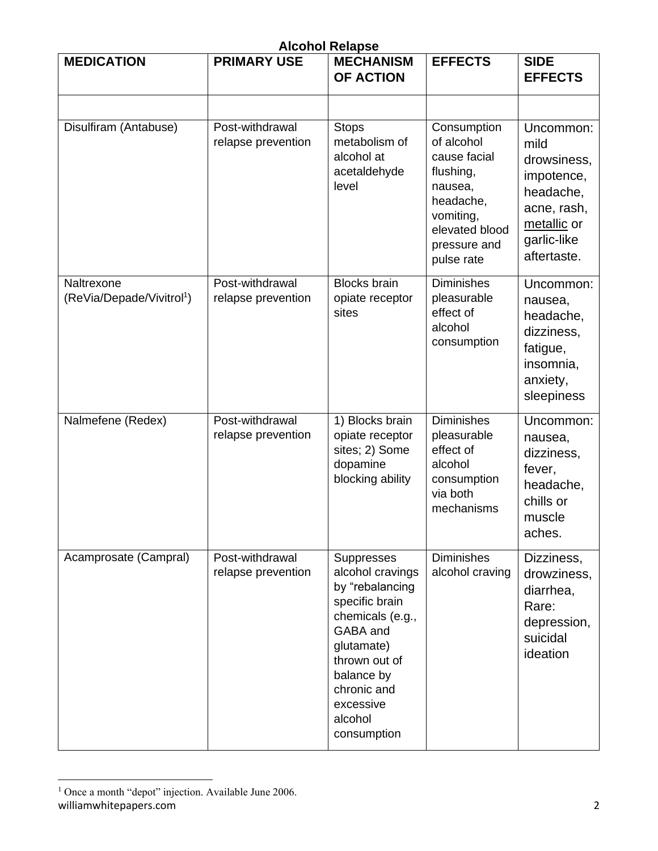| <b>Alcohol Relapse</b>                              |                                       |                                                                                                                                                                                                        |                                                                                                                                             |                                                                                                                         |  |  |
|-----------------------------------------------------|---------------------------------------|--------------------------------------------------------------------------------------------------------------------------------------------------------------------------------------------------------|---------------------------------------------------------------------------------------------------------------------------------------------|-------------------------------------------------------------------------------------------------------------------------|--|--|
| <b>MEDICATION</b>                                   | <b>PRIMARY USE</b>                    | <b>MECHANISM</b><br><b>OF ACTION</b>                                                                                                                                                                   | <b>EFFECTS</b>                                                                                                                              | <b>SIDE</b><br><b>EFFECTS</b>                                                                                           |  |  |
|                                                     |                                       |                                                                                                                                                                                                        |                                                                                                                                             |                                                                                                                         |  |  |
| Disulfiram (Antabuse)                               | Post-withdrawal<br>relapse prevention | <b>Stops</b><br>metabolism of<br>alcohol at<br>acetaldehyde<br>level                                                                                                                                   | Consumption<br>of alcohol<br>cause facial<br>flushing,<br>nausea,<br>headache,<br>vomiting,<br>elevated blood<br>pressure and<br>pulse rate | Uncommon:<br>mild<br>drowsiness,<br>impotence,<br>headache,<br>acne, rash,<br>metallic or<br>garlic-like<br>aftertaste. |  |  |
| Naltrexone<br>(ReVia/Depade/Vivitrol <sup>1</sup> ) | Post-withdrawal<br>relapse prevention | <b>Blocks</b> brain<br>opiate receptor<br>sites                                                                                                                                                        | <b>Diminishes</b><br>pleasurable<br>effect of<br>alcohol<br>consumption                                                                     | Uncommon:<br>nausea,<br>headache,<br>dizziness,<br>fatigue,<br>insomnia,<br>anxiety,<br>sleepiness                      |  |  |
| Nalmefene (Redex)                                   | Post-withdrawal<br>relapse prevention | 1) Blocks brain<br>opiate receptor<br>sites; 2) Some<br>dopamine<br>blocking ability                                                                                                                   | <b>Diminishes</b><br>pleasurable<br>effect of<br>alcohol<br>consumption<br>via both<br>mechanisms                                           | Uncommon:<br>nausea,<br>dizziness,<br>fever,<br>headache,<br>chills or<br>muscle<br>aches.                              |  |  |
| Acamprosate (Campral)                               | Post-withdrawal<br>relapse prevention | Suppresses<br>alcohol cravings<br>by "rebalancing<br>specific brain<br>chemicals (e.g.,<br>GABA and<br>glutamate)<br>thrown out of<br>balance by<br>chronic and<br>excessive<br>alcohol<br>consumption | <b>Diminishes</b><br>alcohol craving                                                                                                        | Dizziness,<br>drowziness,<br>diarrhea,<br>Rare:<br>depression,<br>suicidal<br>ideation                                  |  |  |

williamwhitepapers.com 2  $1$  Once a month "depot" injection. Available June 2006.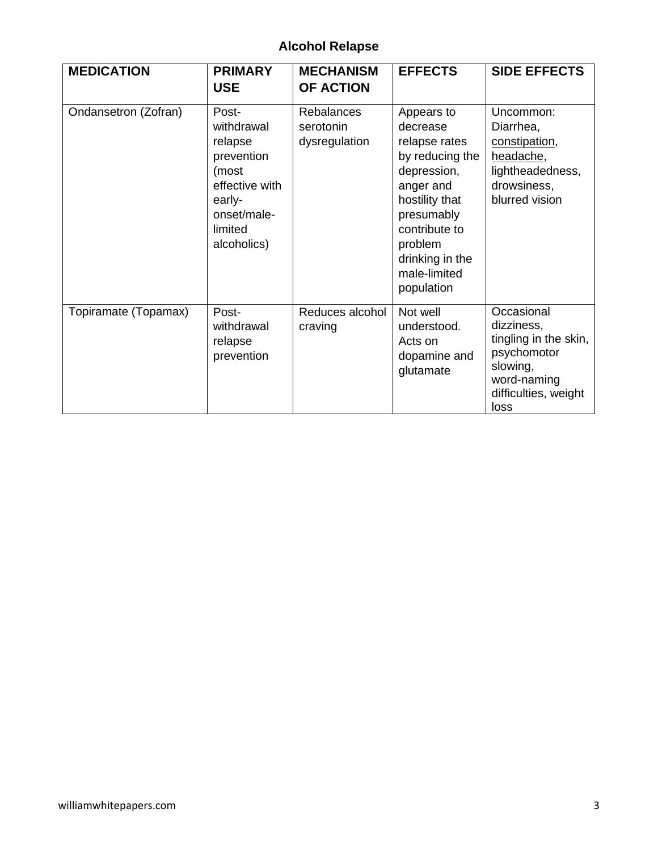# **Alcohol Relapse**

| <b>MEDICATION</b>    | <b>PRIMARY</b><br><b>USE</b>                                                                                               | <b>MECHANISM</b><br><b>OF ACTION</b>            | <b>EFFECTS</b>                                                                                                                                                                                      | <b>SIDE EFFECTS</b>                                                                                                         |
|----------------------|----------------------------------------------------------------------------------------------------------------------------|-------------------------------------------------|-----------------------------------------------------------------------------------------------------------------------------------------------------------------------------------------------------|-----------------------------------------------------------------------------------------------------------------------------|
| Ondansetron (Zofran) | Post-<br>withdrawal<br>relapse<br>prevention<br>(most<br>effective with<br>early-<br>onset/male-<br>limited<br>alcoholics) | <b>Rebalances</b><br>serotonin<br>dysregulation | Appears to<br>decrease<br>relapse rates<br>by reducing the<br>depression,<br>anger and<br>hostility that<br>presumably<br>contribute to<br>problem<br>drinking in the<br>male-limited<br>population | Uncommon:<br>Diarrhea,<br>constipation,<br>headache,<br>lightheadedness,<br>drowsiness,<br>blurred vision                   |
| Topiramate (Topamax) | Post-<br>withdrawal<br>relapse<br>prevention                                                                               | Reduces alcohol<br>craving                      | Not well<br>understood.<br>Acts on<br>dopamine and<br>glutamate                                                                                                                                     | Occasional<br>dizziness,<br>tingling in the skin,<br>psychomotor<br>slowing,<br>word-naming<br>difficulties, weight<br>loss |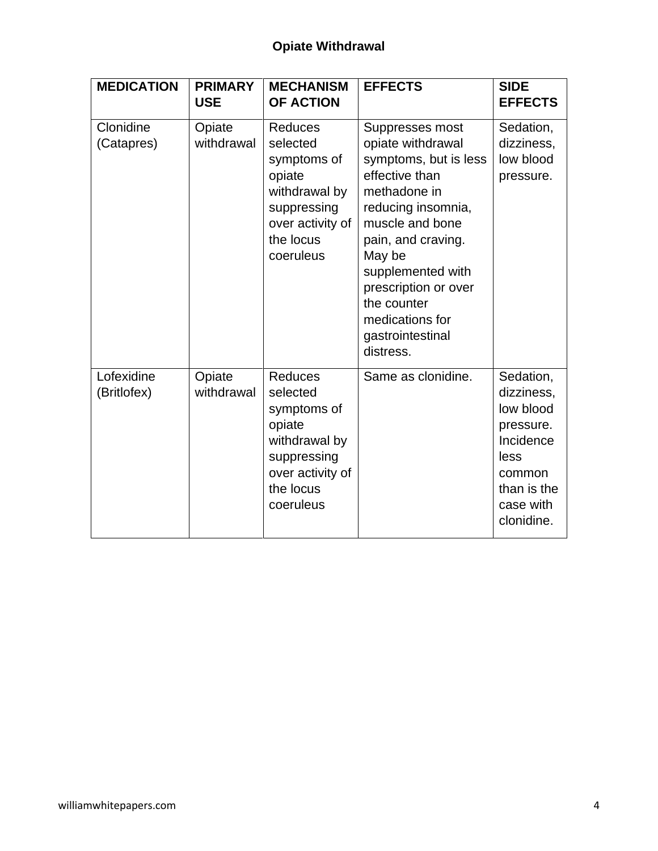| <b>MEDICATION</b>         | <b>PRIMARY</b><br><b>USE</b> | <b>MECHANISM</b><br><b>OF ACTION</b>                                                                                              | <b>EFFECTS</b>                                                                                                                                                                                                                                                                           | <b>SIDE</b><br><b>EFFECTS</b>                                                                                              |
|---------------------------|------------------------------|-----------------------------------------------------------------------------------------------------------------------------------|------------------------------------------------------------------------------------------------------------------------------------------------------------------------------------------------------------------------------------------------------------------------------------------|----------------------------------------------------------------------------------------------------------------------------|
| Clonidine<br>(Catapres)   | Opiate<br>withdrawal         | <b>Reduces</b><br>selected<br>symptoms of<br>opiate<br>withdrawal by<br>suppressing<br>over activity of<br>the locus<br>coeruleus | Suppresses most<br>opiate withdrawal<br>symptoms, but is less<br>effective than<br>methadone in<br>reducing insomnia,<br>muscle and bone<br>pain, and craving.<br>May be<br>supplemented with<br>prescription or over<br>the counter<br>medications for<br>gastrointestinal<br>distress. | Sedation,<br>dizziness,<br>low blood<br>pressure.                                                                          |
| Lofexidine<br>(Britlofex) | Opiate<br>withdrawal         | <b>Reduces</b><br>selected<br>symptoms of<br>opiate<br>withdrawal by<br>suppressing<br>over activity of<br>the locus<br>coeruleus | Same as clonidine.                                                                                                                                                                                                                                                                       | Sedation,<br>dizziness,<br>low blood<br>pressure.<br>Incidence<br>less<br>common<br>than is the<br>case with<br>clonidine. |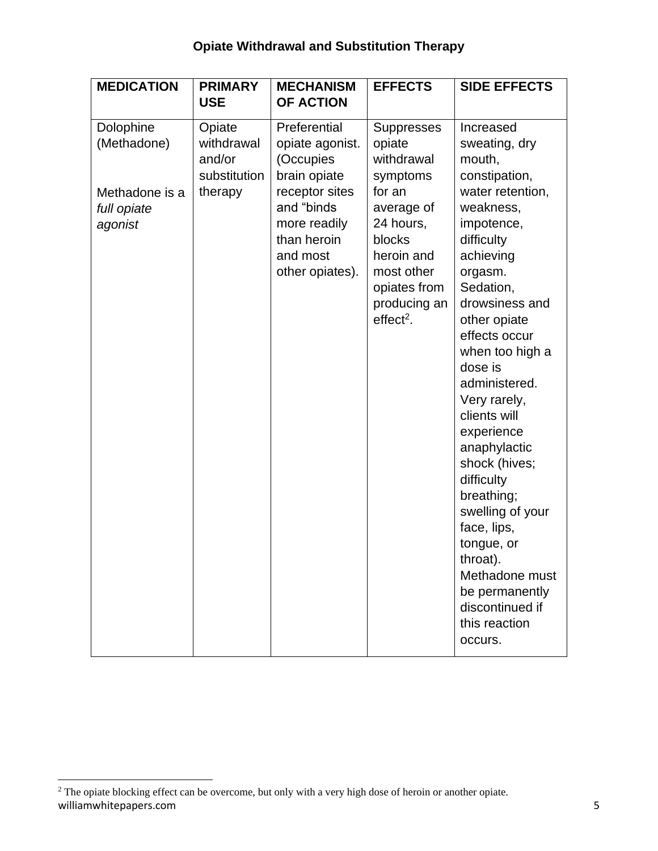# **Opiate Withdrawal and Substitution Therapy**

| <b>MEDICATION</b>                                                    | <b>PRIMARY</b>                                            | <b>MECHANISM</b>                                                                                                                                           | <b>EFFECTS</b>                                                                                                                                                                  | <b>SIDE EFFECTS</b>                                                                                                                                                                                                                                                                                                                                                                                                                                                                                                  |
|----------------------------------------------------------------------|-----------------------------------------------------------|------------------------------------------------------------------------------------------------------------------------------------------------------------|---------------------------------------------------------------------------------------------------------------------------------------------------------------------------------|----------------------------------------------------------------------------------------------------------------------------------------------------------------------------------------------------------------------------------------------------------------------------------------------------------------------------------------------------------------------------------------------------------------------------------------------------------------------------------------------------------------------|
|                                                                      | <b>USE</b>                                                | <b>OF ACTION</b>                                                                                                                                           |                                                                                                                                                                                 |                                                                                                                                                                                                                                                                                                                                                                                                                                                                                                                      |
| Dolophine<br>(Methadone)<br>Methadone is a<br>full opiate<br>agonist | Opiate<br>withdrawal<br>and/or<br>substitution<br>therapy | Preferential<br>opiate agonist.<br>(Occupies<br>brain opiate<br>receptor sites<br>and "binds<br>more readily<br>than heroin<br>and most<br>other opiates). | <b>Suppresses</b><br>opiate<br>withdrawal<br>symptoms<br>for an<br>average of<br>24 hours,<br>blocks<br>heroin and<br>most other<br>opiates from<br>producing an<br>$effect2$ . | Increased<br>sweating, dry<br>mouth,<br>constipation,<br>water retention,<br>weakness,<br>impotence,<br>difficulty<br>achieving<br>orgasm.<br>Sedation,<br>drowsiness and<br>other opiate<br>effects occur<br>when too high a<br>dose is<br>administered.<br>Very rarely,<br>clients will<br>experience<br>anaphylactic<br>shock (hives;<br>difficulty<br>breathing;<br>swelling of your<br>face, lips,<br>tongue, or<br>throat).<br>Methadone must<br>be permanently<br>discontinued if<br>this reaction<br>occurs. |

williamwhitepapers.com 5 <sup>2</sup> The opiate blocking effect can be overcome, but only with a very high dose of heroin or another opiate.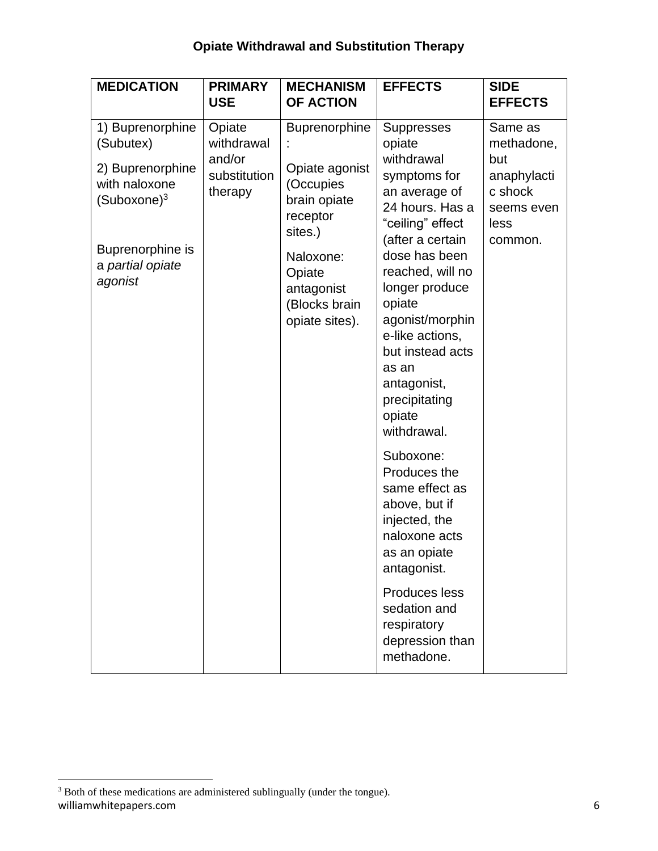# **Opiate Withdrawal and Substitution Therapy**

| <b>MEDICATION</b>                                                                                                                                | <b>PRIMARY</b><br><b>USE</b>                              | <b>MECHANISM</b><br><b>OF ACTION</b>                                                                                                                        | <b>EFFECTS</b>                                                                                                                                                                                                                                                                                                                                                                                                                                                                                                                                       | <b>SIDE</b><br><b>EFFECTS</b>                                                           |
|--------------------------------------------------------------------------------------------------------------------------------------------------|-----------------------------------------------------------|-------------------------------------------------------------------------------------------------------------------------------------------------------------|------------------------------------------------------------------------------------------------------------------------------------------------------------------------------------------------------------------------------------------------------------------------------------------------------------------------------------------------------------------------------------------------------------------------------------------------------------------------------------------------------------------------------------------------------|-----------------------------------------------------------------------------------------|
| 1) Buprenorphine<br>(Subutex)<br>2) Buprenorphine<br>with naloxone<br>(Suboxone) <sup>3</sup><br>Buprenorphine is<br>a partial opiate<br>agonist | Opiate<br>withdrawal<br>and/or<br>substitution<br>therapy | Buprenorphine<br>Opiate agonist<br>(Occupies<br>brain opiate<br>receptor<br>sites.)<br>Naloxone:<br>Opiate<br>antagonist<br>(Blocks brain<br>opiate sites). | <b>Suppresses</b><br>opiate<br>withdrawal<br>symptoms for<br>an average of<br>24 hours. Has a<br>"ceiling" effect<br>(after a certain<br>dose has been<br>reached, will no<br>longer produce<br>opiate<br>agonist/morphin<br>e-like actions,<br>but instead acts<br>as an<br>antagonist,<br>precipitating<br>opiate<br>withdrawal.<br>Suboxone:<br>Produces the<br>same effect as<br>above, but if<br>injected, the<br>naloxone acts<br>as an opiate<br>antagonist.<br>Produces less<br>sedation and<br>respiratory<br>depression than<br>methadone. | Same as<br>methadone,<br>but<br>anaphylacti<br>c shock<br>seems even<br>less<br>common. |

williamwhitepapers.com 6 <sup>3</sup> Both of these medications are administered sublingually (under the tongue).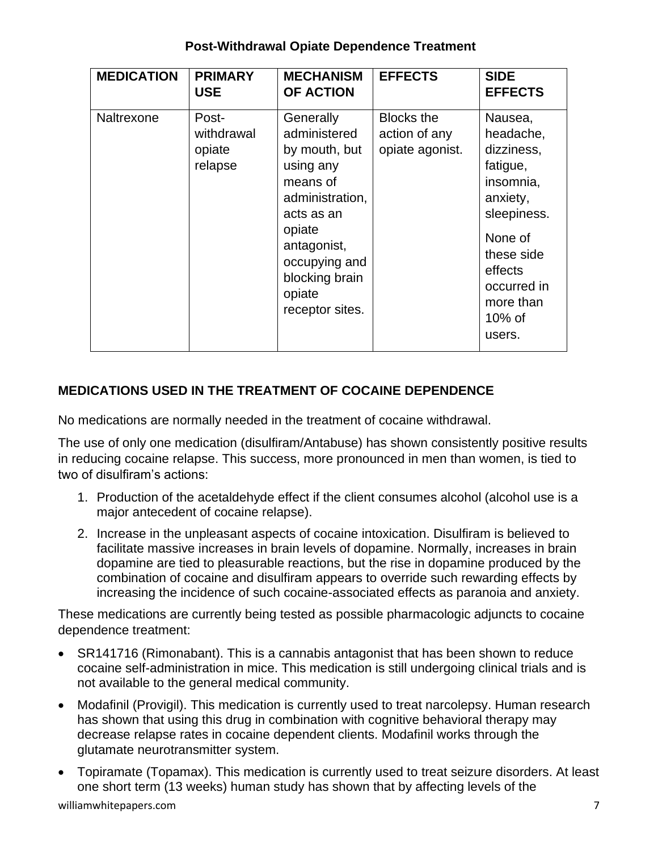#### **Post-Withdrawal Opiate Dependence Treatment**

| <b>MEDICATION</b> | <b>PRIMARY</b><br><b>USE</b>             | <b>MECHANISM</b><br><b>OF ACTION</b>                                                                                                                                                          | <b>EFFECTS</b>                                        | <b>SIDE</b><br><b>EFFECTS</b>                                                                                                                                                 |
|-------------------|------------------------------------------|-----------------------------------------------------------------------------------------------------------------------------------------------------------------------------------------------|-------------------------------------------------------|-------------------------------------------------------------------------------------------------------------------------------------------------------------------------------|
| Naltrexone        | Post-<br>withdrawal<br>opiate<br>relapse | Generally<br>administered<br>by mouth, but<br>using any<br>means of<br>administration,<br>acts as an<br>opiate<br>antagonist,<br>occupying and<br>blocking brain<br>opiate<br>receptor sites. | <b>Blocks the</b><br>action of any<br>opiate agonist. | Nausea,<br>headache,<br>dizziness,<br>fatigue,<br>insomnia,<br>anxiety,<br>sleepiness.<br>None of<br>these side<br>effects<br>occurred in<br>more than<br>$10\%$ of<br>users. |

## **MEDICATIONS USED IN THE TREATMENT OF COCAINE DEPENDENCE**

No medications are normally needed in the treatment of cocaine withdrawal.

The use of only one medication (disulfiram/Antabuse) has shown consistently positive results in reducing cocaine relapse. This success, more pronounced in men than women, is tied to two of disulfiram's actions:

- 1. Production of the acetaldehyde effect if the client consumes alcohol (alcohol use is a major antecedent of cocaine relapse).
- 2. Increase in the unpleasant aspects of cocaine intoxication. Disulfiram is believed to facilitate massive increases in brain levels of dopamine. Normally, increases in brain dopamine are tied to pleasurable reactions, but the rise in dopamine produced by the combination of cocaine and disulfiram appears to override such rewarding effects by increasing the incidence of such cocaine-associated effects as paranoia and anxiety.

These medications are currently being tested as possible pharmacologic adjuncts to cocaine dependence treatment:

- SR141716 (Rimonabant). This is a cannabis antagonist that has been shown to reduce cocaine self-administration in mice. This medication is still undergoing clinical trials and is not available to the general medical community.
- Modafinil (Provigil). This medication is currently used to treat narcolepsy. Human research has shown that using this drug in combination with cognitive behavioral therapy may decrease relapse rates in cocaine dependent clients. Modafinil works through the glutamate neurotransmitter system.
- Topiramate (Topamax). This medication is currently used to treat seizure disorders. At least one short term (13 weeks) human study has shown that by affecting levels of the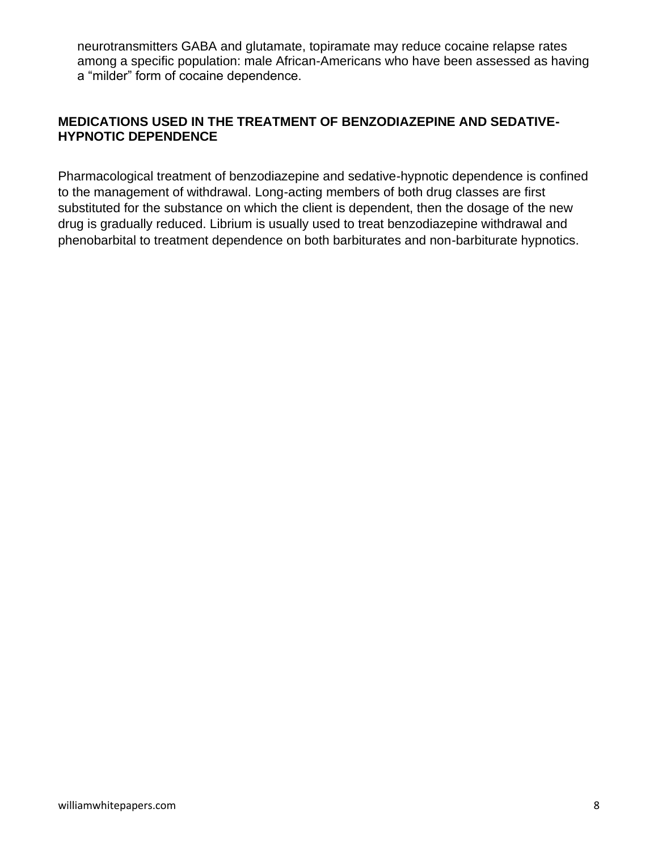neurotransmitters GABA and glutamate, topiramate may reduce cocaine relapse rates among a specific population: male African-Americans who have been assessed as having a "milder" form of cocaine dependence.

#### **MEDICATIONS USED IN THE TREATMENT OF BENZODIAZEPINE AND SEDATIVE-HYPNOTIC DEPENDENCE**

Pharmacological treatment of benzodiazepine and sedative-hypnotic dependence is confined to the management of withdrawal. Long-acting members of both drug classes are first substituted for the substance on which the client is dependent, then the dosage of the new drug is gradually reduced. Librium is usually used to treat benzodiazepine withdrawal and phenobarbital to treatment dependence on both barbiturates and non-barbiturate hypnotics.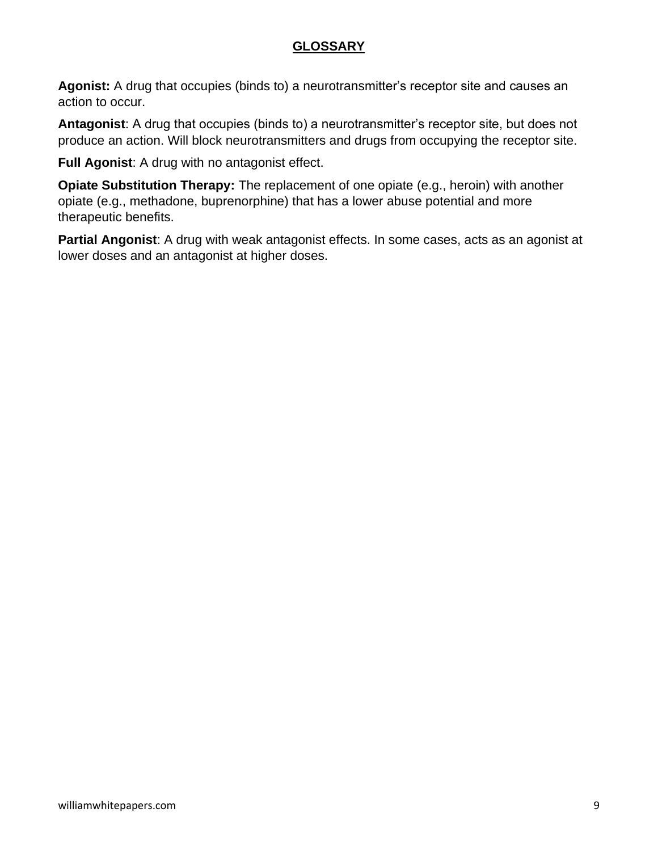## **GLOSSARY**

**Agonist:** A drug that occupies (binds to) a neurotransmitter's receptor site and causes an action to occur.

**Antagonist**: A drug that occupies (binds to) a neurotransmitter's receptor site, but does not produce an action. Will block neurotransmitters and drugs from occupying the receptor site.

**Full Agonist**: A drug with no antagonist effect.

**Opiate Substitution Therapy:** The replacement of one opiate (e.g., heroin) with another opiate (e.g., methadone, buprenorphine) that has a lower abuse potential and more therapeutic benefits.

**Partial Angonist**: A drug with weak antagonist effects. In some cases, acts as an agonist at lower doses and an antagonist at higher doses.